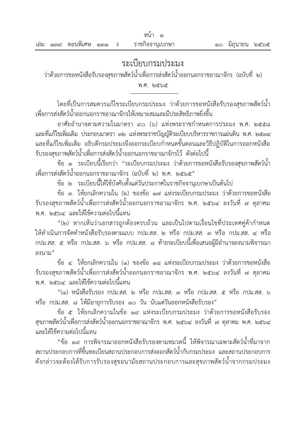# ระเบียบกรมประมง

ว่าด้วยการขอหนังสือรับรองสุขภาพสัตว์น้ำเพื่อการส่งสัตว์น้ำออกนอกราชอาณาจักร (ฉบับที่ ๒)

พ.ศ. 1965

โดยที่เป็นการสมควรแก้ไขระเบียบกรมประมง ว่าด้วยการขอหนังสือรับรองสุขภาพสัตว์น้ำ เพื่อการส่งสัตว์น้ำออกนอกราชอาณาจักรให้เหมาะสมและมีประสิทธิภาพยิ่งขึ้น

อาศัยอำนาจตามความในมาตรา ๙๐ (๖) แห่งพระราชกำหนดการประมง พ.ศ. ๒๕๕๘ และที่แก้ไขเพิ่มเติม ประกอบมาตรา ๓๒ แห่งพระราชบัญญัติระเบียบบริหารราชการแผ่นดิน พ.ศ. ๒๕๓๔ และที่แก้ไขเพิ่มเติม อธิบดีกรมประมงจึงออกระเบียบกำหนดขั้นตอนและวิธีปฏิบัติในการออกหนังสือ ้รับรองสุขภาพสัตว์น้ำเพื่อการส่งสัตว์น้ำออกนอกราชอาณาจักรไว้ ดังต่อไปนี้

ข้อ ๑ ระเบียบนี้เรียกว่า "ระเบียบกรมประมง ว่าด้วยการขอหนังสือรับรองสุขภาพสัตว์น้ำ เพื่อการส่งสัตว์น้ำออกนอกราชอาณาจักร (ฉบับที่ ๒) พ.ศ. ๒๕๖๕"

ข้อ ๒ ระเบียบนี้ให้ใช้บังคับตั้งแต่วันประกาศในราชกิจจานุเบกษาเป็นต้นไป

ข้อ ๓ ให้ยกเลิกความใน (๒) ของข้อ ๑๗ แห่งระเบียบกรมประมง ว่าด้วยการขอหนังสือ รับรองสุขภาพสัตว์น้ำเพื่อการส่งสัตว์น้ำออกนอกราชอาณาจักร พ.ศ. ๒๕๖๔ ลงวันที่ ๗ ตุลาคม พ.ศ. ๒๕๖๔ และให้ใช้ความต่อไปนี้แทน

"(2) หากเห็นว่าเอกสารถูกต้องครบถ้วน และเป็นไปตามเงื่อนไขที่ประเทศคู่ค้าก้าหนด ให้ดำเนินการจัดทำหนังสือรับรองตามแบบ กปม.สส. ๒ หรือ กปม.สส. ๓ หรือ กปม.สส. ๔ หรือ กปม.สส. ๕ หรือ กปม.สส. ๖ หรือ กปม.สส. ๘ ท้ายระเบียบนี้เพื่อเสนอผู้มีอำนาจลงนามพิจารณา ลงนาม"

ข้อ ๔ ให้ยกเลิกความใน (๑) ของข้อ ๑๘ แห่งระเบียบกรมประมง ว่าด้วยการขอหนังสือ รับรองสุขภาพสัตว์น้ำเพื่อการส่งสัตว์น้ำออกนอกราชอาณาจักร พ.ศ. ๒๕๖๔ ลงวันที่ ๗ ตุลาคม พ.ศ. ๒๕๖๔ และให้ใช้ความต่อไปนี้แทน

"(๑) หนังสือรับรอง กปม.สส. ๒ หรือ กปม.สส. ๓ หรือ กปม.สส. ๕ หรือ กปม.สส. ๖ หรือ กปม.สส. ๘ ให้มีอายุการรับรอง ๑๐ วัน นับแต่วันออกหนังสือรับรอง"

ข้อ ๕ ให้ยกเลิกความในข้อ ๑๙ แห่งระเบียบกรมประมง ว่าด้วยการขอหนังสือรับรอง สุขภาพสัตว์น้ำเพื่อการส่งสัตว์น้ำออกนอกราชอาณาจักร พ.ศ. ๒๕๖๔ ลงวันที่ ๗ ตุลาคม พ.ศ. ๒๕๖๔ และให้ใช้ความต่อไปนี้แทน

"ข้อ ๑๙ การพิจารณาออกหนังสือรับรองตามหมวดนี้ ให้พิจารณาเฉพาะสัตว์น้ำที่มาจาก ิสถานประกอบการที่ขึ้นทะเบียนสถานประกอบการส่งออกสัตว์น้ำกับกรมประมง และสถานประกอบการ ดังกล่าวจะต้องได้รับการรับรองสุขอนามัยสถานประกอบการและสุขภาพสัตว์น้ำจากกรมประมง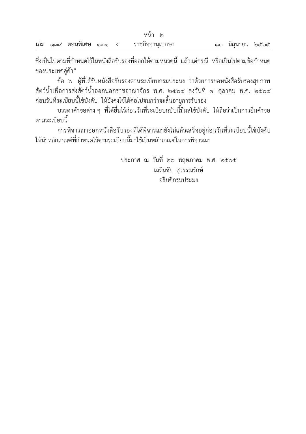ซึ่งเป็นไปตามที่ก้าหนดไว้ในหนังสือรับรองที่ออกให้ตามหมวดนี แล้วแต่กรณี หรือเป็นไปตามข้อก้าหนด ของประเทศคู่ค้า"

ข้อ ๖ ผู้ที่ได้รับหนังสือรับรองตามระเบียบกรมประมง ว่าด้วยการขอหนังสือรับรองสุขภาพ สัตว์น้ำเพื่อการส่งสัตว์น้ำออกนอกราชอาณาจักร พ.ศ. ๒๕๖๔ ลงวันที่ ๗ ตุลาคม พ.ศ. ๒๕๖๔ ก่อนวันที่ระเบียบนี้ใช้บังคับ ให้ยังคงใช้ได้ต่อไปจนกว่าจะสิ้นอายุการรับรอง

บรรดาค้าขอต่าง ๆ ที่ได้ยื่นไว้ก่อนวันที่ระเบียบฉบับนี มีผลใช้บังคับ ให้ถือว่าเป็นการยื่นค้าขอ ตามระเบียบนี

การพิจารณาออกหนังสือรับรองที่ได้พิจารณายังไม่แล้วเสร็จอยู่ก่อนวันที่ระเบียบนี้ใช้บังคับ ให้นำหลักเกณฑ์ที่กำหนดไว้ตามระเบียบนี้มาใช้เป็นหลักเกณฑ์ในการพิจารณา

> ประกาศ ณ วันที่ ๒๖ พฤษภาคม พ.ศ. ๒๕๖๕ เฉลิมชัย สุวรรณรักษ์ อธิบดีกรมประมง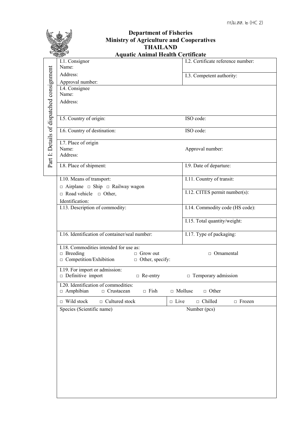|                                           | <b>Department of Fisheries</b><br><b>Ministry of Agriculture and Cooperatives</b><br><b>THAILAND</b> |                                    |  |
|-------------------------------------------|------------------------------------------------------------------------------------------------------|------------------------------------|--|
|                                           | <b>Aquatic Animal Health Certificate</b>                                                             |                                    |  |
|                                           | I.1. Consignor<br>Name:                                                                              | I.2. Certificate reference number: |  |
|                                           | Address:                                                                                             | I.3. Competent authority:          |  |
|                                           | Approval number:                                                                                     |                                    |  |
|                                           | I.4. Consignee                                                                                       |                                    |  |
|                                           | Name:                                                                                                |                                    |  |
|                                           | Address:                                                                                             |                                    |  |
|                                           |                                                                                                      |                                    |  |
|                                           | I.5. Country of origin:                                                                              | ISO code:                          |  |
| Part I: Details of dispatched consignment | I.6. Country of destination:                                                                         | ISO code:                          |  |
|                                           | I.7. Place of origin                                                                                 |                                    |  |
|                                           | Name:                                                                                                | Approval number:                   |  |
|                                           | Address:                                                                                             |                                    |  |
|                                           | I.8. Place of shipment:                                                                              | I.9. Date of departure:            |  |
|                                           |                                                                                                      |                                    |  |
|                                           | I.10. Means of transport:                                                                            | I.11. Country of transit:          |  |
|                                           | $\Box$ Airplane $\Box$ Ship $\Box$ Railway wagon                                                     | I.12. CITES permit number(s):      |  |
|                                           | $\Box$ Road vehicle $\Box$ Other,                                                                    |                                    |  |
|                                           | Identification:<br>I.13. Description of commodity:                                                   | I.14. Commodity code (HS code):    |  |
|                                           |                                                                                                      |                                    |  |
|                                           |                                                                                                      | I.15. Total quantity/weight:       |  |
|                                           |                                                                                                      |                                    |  |
|                                           | I.16. Identification of container/seal number:                                                       | I.17. Type of packaging:           |  |
|                                           | I.18. Commodities intended for use as:                                                               |                                    |  |
|                                           | $\Box$ Breeding<br>$\Box$ Grow out                                                                   | $\Box$ Ornamental                  |  |
|                                           | $\Box$ Competition/Exhibition<br>$\Box$ Other, specify:                                              |                                    |  |
|                                           | I.19. For import or admission:<br>$\Box$ Definitive import                                           |                                    |  |
|                                           | $\Box$ Re-entry<br>I.20. Identification of commodities:                                              | $\Box$ Temporary admission         |  |
|                                           | $\Box$ Amphibian<br>$\Box$ Crustacean<br>$\Box$ Fish                                                 | $\Box$ Mollusc<br>$\Box$ Other     |  |
|                                           | $\Box$ Wild stock<br>$\Box$ Cultured stock<br>$\Box$ Live                                            | $\Box$ Chilled<br>$\Box$ Frozen    |  |
|                                           | Species (Scientific name)                                                                            | Number (pcs)                       |  |
|                                           |                                                                                                      |                                    |  |
|                                           |                                                                                                      |                                    |  |
|                                           |                                                                                                      |                                    |  |
|                                           |                                                                                                      |                                    |  |
|                                           |                                                                                                      |                                    |  |
|                                           |                                                                                                      |                                    |  |
|                                           |                                                                                                      |                                    |  |
|                                           |                                                                                                      |                                    |  |
|                                           |                                                                                                      |                                    |  |
|                                           |                                                                                                      |                                    |  |
|                                           |                                                                                                      |                                    |  |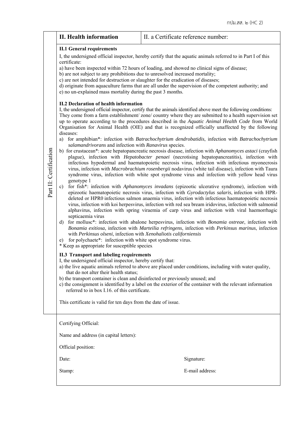|                        | <b>II. Health information</b>                                                                                                                                                                                                                                                                                                                                                                                                                                                                                                                                                                                                                                                                                                                                                                                                                                                                                                                                          | II. a Certificate reference number:                                                                                                                                                                                                                                                                                                                                                                                                                                                                                                                                                                                                                                                                                                                                                                                                                                                                                                                                                                                                                                                                                                                                                                                                                                                                                                                                                                                                                                                                                                                                                                                                                                                                                                                                                                                                                                                                                                                                                                                                                                                                                                                                                                                                                                                                                                                       |
|------------------------|------------------------------------------------------------------------------------------------------------------------------------------------------------------------------------------------------------------------------------------------------------------------------------------------------------------------------------------------------------------------------------------------------------------------------------------------------------------------------------------------------------------------------------------------------------------------------------------------------------------------------------------------------------------------------------------------------------------------------------------------------------------------------------------------------------------------------------------------------------------------------------------------------------------------------------------------------------------------|-----------------------------------------------------------------------------------------------------------------------------------------------------------------------------------------------------------------------------------------------------------------------------------------------------------------------------------------------------------------------------------------------------------------------------------------------------------------------------------------------------------------------------------------------------------------------------------------------------------------------------------------------------------------------------------------------------------------------------------------------------------------------------------------------------------------------------------------------------------------------------------------------------------------------------------------------------------------------------------------------------------------------------------------------------------------------------------------------------------------------------------------------------------------------------------------------------------------------------------------------------------------------------------------------------------------------------------------------------------------------------------------------------------------------------------------------------------------------------------------------------------------------------------------------------------------------------------------------------------------------------------------------------------------------------------------------------------------------------------------------------------------------------------------------------------------------------------------------------------------------------------------------------------------------------------------------------------------------------------------------------------------------------------------------------------------------------------------------------------------------------------------------------------------------------------------------------------------------------------------------------------------------------------------------------------------------------------------------------------|
| Part II: Certification | <b>II.1 General requirements</b><br>certificate:<br>b) are not subject to any prohibitions due to unresolved increased mortality;<br>c) are not intended for destruction or slaughter for the eradication of diseases;<br>e) no un-explained mass mortality during the past 3 months.<br><b>II.2 Declaration of health information</b><br>diseases:<br>a)<br>salamandrivorans and infection with Ranavirus species.<br>genotype 1<br>$\mathbf{c})$<br>septicaemia virus<br>d)<br>with Perkinsus olseni, infection with Xenohaliotis californiensis<br>for polychaete*: infection with white spot syndrome virus.<br>e)<br>* Keep as appropriate for susceptible species.<br><b>II.3 Transport and labeling requirements</b><br>I, the undersigned official inspector, hereby certify that:<br>that do not alter their health status;<br>b) the transport container is clean and disinfected or previously unused; and<br>referred to in box I.16. of this certificate. | I, the undersigned official inspector, hereby certify that the aquatic animals referred to in Part I of this<br>a) have been inspected within 72 hours of loading, and showed no clinical signs of disease;<br>d) originate from aquaculture farms that are all under the supervision of the competent authority; and<br>I, the undersigned official inspector, certify that the animals identified above meet the following conditions:<br>They come from a farm establishment/zone/country where they are submitted to a health supervision set<br>up to operate according to the procedures described in the Aquatic Animal Health Code from World<br>Organisation for Animal Health (OIE) and that is recognized officially unaffected by the following<br>for amphibian*: infection with Batrachochytrium dendrobatidis, infection with Batrachochytrium<br>b) for crustacean*: acute hepatopancreatic necrosis disease, infection with Aphanomyces astaci (crayfish<br>plague), infection with <i>Hepatobacter penaei</i> (necrotising hepatopancreatitis), infection with<br>infectious hypodermal and haematopoietic necrosis virus, infection with infectious myonecrosis<br>virus, infection with Macrobrachium rosenbergii nodavirus (white tail disease), infection with Taura<br>syndrome virus, infection with white spot syndrome virus and infection with yellow head virus<br>for fish*: infection with Aphanomyces invadans (epizootic ulcerative syndrome), infection with<br>epizootic haematopoietic necrosis virus, infection with Gyrodactylus salaris, infection with HPR-<br>deleted or HPR0 infectious salmon anaemia virus, infection with infectious haematopoietic necrosis<br>virus, infection with koi herpesvirus, infection with red sea bream iridovirus, infection with salmonid<br>alphavirus, infection with spring viraemia of carp virus and infection with viral haemorrhagic<br>for molluse*: infection with abalone herpesvirus, infection with Bonamia ostreae, infection with<br>Bonamia exitiosa, infection with Marteilia refringens, infection with Perkinsus marinus, infection<br>a) the live aquatic animals referred to above are placed under conditions, including with water quality,<br>c) the consignment is identified by a label on the exterior of the container with the relevant information |
|                        | This certificate is valid for ten days from the date of issue.                                                                                                                                                                                                                                                                                                                                                                                                                                                                                                                                                                                                                                                                                                                                                                                                                                                                                                         |                                                                                                                                                                                                                                                                                                                                                                                                                                                                                                                                                                                                                                                                                                                                                                                                                                                                                                                                                                                                                                                                                                                                                                                                                                                                                                                                                                                                                                                                                                                                                                                                                                                                                                                                                                                                                                                                                                                                                                                                                                                                                                                                                                                                                                                                                                                                                           |
|                        | Certifying Official:<br>Name and address (in capital letters):                                                                                                                                                                                                                                                                                                                                                                                                                                                                                                                                                                                                                                                                                                                                                                                                                                                                                                         |                                                                                                                                                                                                                                                                                                                                                                                                                                                                                                                                                                                                                                                                                                                                                                                                                                                                                                                                                                                                                                                                                                                                                                                                                                                                                                                                                                                                                                                                                                                                                                                                                                                                                                                                                                                                                                                                                                                                                                                                                                                                                                                                                                                                                                                                                                                                                           |
|                        | Official position:                                                                                                                                                                                                                                                                                                                                                                                                                                                                                                                                                                                                                                                                                                                                                                                                                                                                                                                                                     |                                                                                                                                                                                                                                                                                                                                                                                                                                                                                                                                                                                                                                                                                                                                                                                                                                                                                                                                                                                                                                                                                                                                                                                                                                                                                                                                                                                                                                                                                                                                                                                                                                                                                                                                                                                                                                                                                                                                                                                                                                                                                                                                                                                                                                                                                                                                                           |
|                        | Date:<br>Stamp:                                                                                                                                                                                                                                                                                                                                                                                                                                                                                                                                                                                                                                                                                                                                                                                                                                                                                                                                                        | Signature:<br>E-mail address:                                                                                                                                                                                                                                                                                                                                                                                                                                                                                                                                                                                                                                                                                                                                                                                                                                                                                                                                                                                                                                                                                                                                                                                                                                                                                                                                                                                                                                                                                                                                                                                                                                                                                                                                                                                                                                                                                                                                                                                                                                                                                                                                                                                                                                                                                                                             |
|                        |                                                                                                                                                                                                                                                                                                                                                                                                                                                                                                                                                                                                                                                                                                                                                                                                                                                                                                                                                                        |                                                                                                                                                                                                                                                                                                                                                                                                                                                                                                                                                                                                                                                                                                                                                                                                                                                                                                                                                                                                                                                                                                                                                                                                                                                                                                                                                                                                                                                                                                                                                                                                                                                                                                                                                                                                                                                                                                                                                                                                                                                                                                                                                                                                                                                                                                                                                           |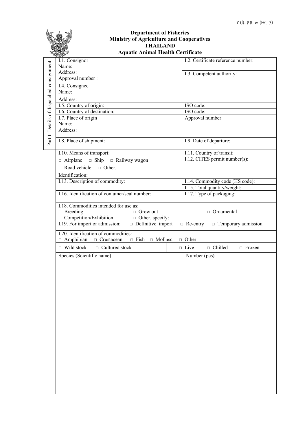|                                           | <b>Department of Fisheries</b><br><b>Ministry of Agriculture and Cooperatives</b><br><b>THAILAND</b><br><b>Aquatic Animal Health Certificate</b>                                                                                                                                                                                                                                                                                                                                                                                                                                                                                                                                                                                                                                                              |                                                                                                                                                                                                                                                                                                                                                                                       |
|-------------------------------------------|---------------------------------------------------------------------------------------------------------------------------------------------------------------------------------------------------------------------------------------------------------------------------------------------------------------------------------------------------------------------------------------------------------------------------------------------------------------------------------------------------------------------------------------------------------------------------------------------------------------------------------------------------------------------------------------------------------------------------------------------------------------------------------------------------------------|---------------------------------------------------------------------------------------------------------------------------------------------------------------------------------------------------------------------------------------------------------------------------------------------------------------------------------------------------------------------------------------|
|                                           | I.1. Consignor<br>Name:                                                                                                                                                                                                                                                                                                                                                                                                                                                                                                                                                                                                                                                                                                                                                                                       | I.2. Certificate reference number:                                                                                                                                                                                                                                                                                                                                                    |
|                                           | Address:<br>Approval number :                                                                                                                                                                                                                                                                                                                                                                                                                                                                                                                                                                                                                                                                                                                                                                                 | I.3. Competent authority:                                                                                                                                                                                                                                                                                                                                                             |
| Part I: Details of dispatched consignment | I.4. Consignee<br>Name:<br>Address:<br>I.5. Country of origin:<br>I.6. Country of destination:<br>I.7. Place of origin<br>Name:<br>Address:<br>I.8. Place of shipment:<br>I.10. Means of transport:<br>$\Box$ Ship $\Box$ Railway wagon<br>$\Box$ Airplane<br>$\Box$ Road vehicle<br>$\Box$ Other,<br>Identification:<br>I.13. Description of commodity:<br>I.16. Identification of container/seal number:<br>I.18. Commodities intended for use as:<br>$\Box$ Breeding<br>$\Box$ Grow out<br>$\Box$ Competition/Exhibition<br>$\Box$ Other, specify:<br>I.19. For import or admission:<br>$\Box$ Definitive import<br>I.20. Identification of commodities:<br>$\Box$ Amphibian<br>$\Box$ Fish $\Box$ Mollusc<br>$\Box$ Crustacean<br>$\Box$ Wild stock<br>$\Box$ Cultured stock<br>Species (Scientific name) | ISO code:<br>ISO code:<br>Approval number:<br>I.9. Date of departure:<br>I.11. Country of transit:<br>I.12. CITES permit number(s):<br>I.14. Commodity code (HS code):<br>I.15. Total quantity/weight:<br>I.17. Type of packaging:<br>□ Ornamental<br>$\Box$ Temporary admission<br>$\Box$ Re-entry<br>$\Box$ Other<br>$\Box$ Chilled<br>$\Box$ Live<br>$\Box$ Frozen<br>Number (pcs) |
|                                           |                                                                                                                                                                                                                                                                                                                                                                                                                                                                                                                                                                                                                                                                                                                                                                                                               |                                                                                                                                                                                                                                                                                                                                                                                       |
|                                           |                                                                                                                                                                                                                                                                                                                                                                                                                                                                                                                                                                                                                                                                                                                                                                                                               |                                                                                                                                                                                                                                                                                                                                                                                       |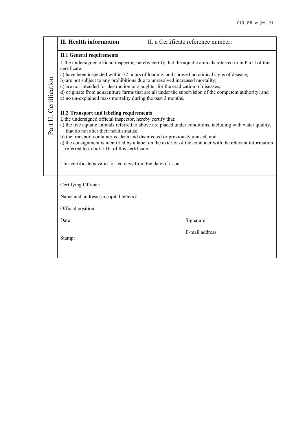|                        | <b>II. Health information</b>                                                                                                                                                                                                                                                                                                                                | II. a Certificate reference number:                                                                                                                                                                                                                                                                                   |
|------------------------|--------------------------------------------------------------------------------------------------------------------------------------------------------------------------------------------------------------------------------------------------------------------------------------------------------------------------------------------------------------|-----------------------------------------------------------------------------------------------------------------------------------------------------------------------------------------------------------------------------------------------------------------------------------------------------------------------|
|                        | <b>II.1 General requirements</b><br>certificate:<br>b) are not subject to any prohibitions due to unresolved increased mortality;<br>c) are not intended for destruction or slaughter for the eradication of diseases;<br>e) no un-explained mass mortality during the past 3 months.                                                                        | I, the undersigned official inspector, hereby certify that the aquatic animals referred to in Part I of this<br>a) have been inspected within 72 hours of loading, and showed no clinical signs of disease;<br>d) originate from aquaculture farms that are all under the supervision of the competent authority; and |
| Part II: Certification | <b>II.2 Transport and labeling requirements</b><br>I, the undersigned official inspector, hereby certify that:<br>that do not alter their health status;<br>b) the transport container is clean and disinfected or previously unused; and<br>referred to in box I.16. of this certificate.<br>This certificate is valid for ten days from the date of issue. | a) the live aquatic animals referred to above are placed under conditions, including with water quality,<br>c) the consignment is identified by a label on the exterior of the container with the relevant information                                                                                                |
|                        | Certifying Official:<br>Name and address (in capital letters):<br>Official position:                                                                                                                                                                                                                                                                         |                                                                                                                                                                                                                                                                                                                       |
|                        | Date:                                                                                                                                                                                                                                                                                                                                                        | Signature:                                                                                                                                                                                                                                                                                                            |
|                        | Stamp:                                                                                                                                                                                                                                                                                                                                                       | E-mail address:                                                                                                                                                                                                                                                                                                       |

<u> 1989 - Johann Stoff, fransk politik (d. 1989)</u>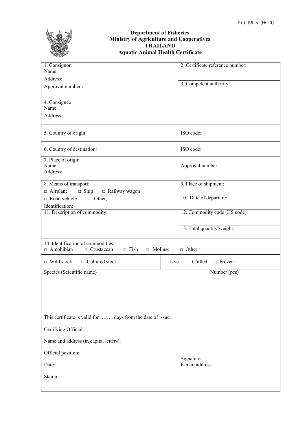

## **Department of Fisheries Ministry of Agriculture and Cooperatives THAILAND Aquatic Animal Health Certificate**

| 1. Consignor<br>Name:                                                                                             | 2. Certificate reference number:            |
|-------------------------------------------------------------------------------------------------------------------|---------------------------------------------|
| Address:                                                                                                          |                                             |
| Approval number :                                                                                                 | 3. Competent authority:                     |
| 4. Consignee<br>Name:                                                                                             |                                             |
| Address:                                                                                                          |                                             |
| 5. Country of origin:                                                                                             | ISO code:                                   |
| 6. Country of destination:                                                                                        | ISO code:                                   |
| 7. Place of origin<br>Name:<br>Address:                                                                           | Approval number:                            |
| 8. Means of transport:                                                                                            | 9. Place of shipment:                       |
| $\Box$ Airplane<br>$\Box$ Ship<br>$\Box$ Railway wagon<br>$\Box$ Road vehicle<br>$\Box$ Other,<br>Identification: | 10. Date of departure:                      |
| 11. Description of commodity:                                                                                     | 12. Commodity code (HS code):               |
|                                                                                                                   |                                             |
|                                                                                                                   | 13. Total quantity/weight:                  |
| 14. Identification of commodities:<br>$\Box$ Amphibian<br>$\Box$ Fish<br>$\Box$ Mollusc<br>$\Box$ Crustacean      | $\Box$ Other                                |
| $\Box$ Wild stock<br>$\Box$ Cultured stock                                                                        | $\Box$ Live<br>$\Box$ Chilled $\Box$ Frozen |
| Species (Scientific name)                                                                                         | Number (pcs)                                |
|                                                                                                                   |                                             |
| This certificate is valid for  days from the date of issue.                                                       |                                             |
| Certifying Official:                                                                                              |                                             |
| Name and address (in capital letters):                                                                            |                                             |
| Official position:                                                                                                |                                             |
| Date:                                                                                                             | Signature:<br>E-mail address:               |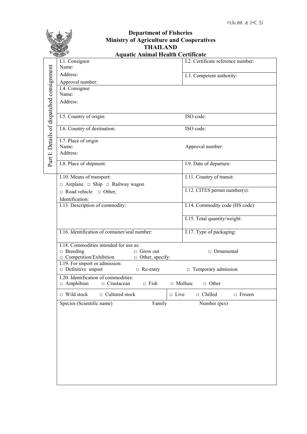|                                           | <b>Department of Fisheries</b>                                                |                                    |  |
|-------------------------------------------|-------------------------------------------------------------------------------|------------------------------------|--|
|                                           | <b>Ministry of Agriculture and Cooperatives</b>                               |                                    |  |
| <b>THAILAND</b>                           |                                                                               |                                    |  |
|                                           | <b>Aquatic Animal Health Certificate</b><br>I.1. Consignor                    | I.2. Certificate reference number: |  |
|                                           | Name:                                                                         |                                    |  |
|                                           | Address:                                                                      | I.3. Competent authority:          |  |
|                                           | Approval number:                                                              |                                    |  |
|                                           | I.4. Consignee<br>Name:                                                       |                                    |  |
|                                           | Address:                                                                      |                                    |  |
|                                           |                                                                               |                                    |  |
| Part I: Details of dispatched consignment | I.5. Country of origin:                                                       | ISO code:                          |  |
|                                           |                                                                               |                                    |  |
|                                           | I.6. Country of destination:                                                  | ISO code:                          |  |
|                                           | I.7. Place of origin                                                          |                                    |  |
|                                           | Name:<br>Address:                                                             | Approval number:                   |  |
|                                           |                                                                               |                                    |  |
|                                           | I.8. Place of shipment:                                                       | I.9. Date of departure:            |  |
|                                           | I.10. Means of transport:                                                     | I.11. Country of transit:          |  |
|                                           | $\Box$ Airplane $\Box$ Ship $\Box$ Railway wagon                              |                                    |  |
|                                           | $\Box$ Road vehicle $\Box$ Other,                                             | I.12. CITES permit number(s):      |  |
|                                           | Identification:                                                               |                                    |  |
|                                           | I.13. Description of commodity:                                               | I.14. Commodity code (HS code):    |  |
|                                           |                                                                               | I.15. Total quantity/weight:       |  |
|                                           |                                                                               |                                    |  |
|                                           | I.16. Identification of container/seal number:                                | I.17. Type of packaging:           |  |
|                                           | I.18. Commodities intended for use as:                                        |                                    |  |
|                                           | $\Box$ Breeding<br>$\Box$ Grow out                                            | $\Box$ Ornamental                  |  |
|                                           | □ Competition/Exhibition<br>$\Box$ Other, specify:                            |                                    |  |
|                                           | I.19. For import or admission:<br>$\Box$ Definitive import<br>$\Box$ Re-entry | $\Box$ Temporary admission         |  |
|                                           | I.20. Identification of commodities:                                          |                                    |  |
|                                           | $\Box$ Amphibian<br>$\Box$ Crustacean<br>$\Box$ Fish                          | □ Mollusc<br>$\Box$ Other          |  |
|                                           | $\Box$ Wild stock<br>$\Box$ Cultured stock<br>$\Box$ Live                     | $\Box$ Chilled<br>$\Box$ Frozen    |  |
|                                           | Species (Scientific name)<br>Family                                           | Number (pcs)                       |  |
|                                           |                                                                               |                                    |  |
|                                           |                                                                               |                                    |  |
|                                           |                                                                               |                                    |  |
|                                           |                                                                               |                                    |  |
|                                           |                                                                               |                                    |  |
|                                           |                                                                               |                                    |  |
|                                           |                                                                               |                                    |  |
|                                           |                                                                               |                                    |  |
|                                           |                                                                               |                                    |  |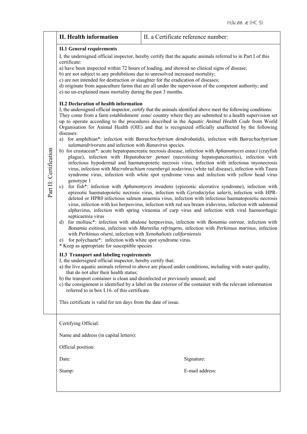|                        | <b>II. Health information</b>                                                                                                                                                                                                                                                                                                                                                                                                                                                                                                                                                                                                                                                                                                                                                                                                                                                                                                                                                                                                      | II. a Certificate reference number:                                                                                                                                                                                                                                                                                                                                                                                                                                                                                                                                                                                                                                                                                                                                                                                                                                                                                                                                                                                                                                                                                                                                                                                                                                                                                                                                                                                                                                                                                                                                                                                                                                                                                                                                                                                                                                                                                                                                                                                                                                                                                                                                                                                                                                                                                                                          |
|------------------------|------------------------------------------------------------------------------------------------------------------------------------------------------------------------------------------------------------------------------------------------------------------------------------------------------------------------------------------------------------------------------------------------------------------------------------------------------------------------------------------------------------------------------------------------------------------------------------------------------------------------------------------------------------------------------------------------------------------------------------------------------------------------------------------------------------------------------------------------------------------------------------------------------------------------------------------------------------------------------------------------------------------------------------|--------------------------------------------------------------------------------------------------------------------------------------------------------------------------------------------------------------------------------------------------------------------------------------------------------------------------------------------------------------------------------------------------------------------------------------------------------------------------------------------------------------------------------------------------------------------------------------------------------------------------------------------------------------------------------------------------------------------------------------------------------------------------------------------------------------------------------------------------------------------------------------------------------------------------------------------------------------------------------------------------------------------------------------------------------------------------------------------------------------------------------------------------------------------------------------------------------------------------------------------------------------------------------------------------------------------------------------------------------------------------------------------------------------------------------------------------------------------------------------------------------------------------------------------------------------------------------------------------------------------------------------------------------------------------------------------------------------------------------------------------------------------------------------------------------------------------------------------------------------------------------------------------------------------------------------------------------------------------------------------------------------------------------------------------------------------------------------------------------------------------------------------------------------------------------------------------------------------------------------------------------------------------------------------------------------------------------------------------------------|
| Part II: Certification | <b>II.1 General requirements</b><br>certificate:<br>b) are not subject to any prohibitions due to unresolved increased mortality;<br>c) are not intended for destruction or slaughter for the eradication of diseases;<br>e) no un-explained mass mortality during the past 3 months.<br><b>II.2 Declaration of health information</b><br>diseases:<br>salamandrivorans and infection with Ranavirus species.<br>genotype 1<br>$\mathbf{c})$<br>septicaemia virus<br>d)<br>with Perkinsus olseni, infection with Xenohaliotis californiensis<br>for polychaete*: infection with white spot syndrome virus.<br>e)<br>* Keep as appropriate for susceptible species.<br><b>II.3 Transport and labeling requirements</b><br>I, the undersigned official inspector, hereby certify that:<br>that do not alter their health status;<br>b) the transport container is clean and disinfected or previously unused; and<br>referred to in box I.16. of this certificate.<br>This certificate is valid for ten days from the date of issue. | I, the undersigned official inspector, hereby certify that the aquatic animals referred to in Part I of this<br>a) have been inspected within 72 hours of loading, and showed no clinical signs of disease;<br>d) originate from aquaculture farms that are all under the supervision of the competent authority; and<br>I, the undersigned official inspector, certify that the animals identified above meet the following conditions:<br>They come from a farm establishment/zone/country where they are submitted to a health supervision set<br>up to operate according to the procedures described in the Aquatic Animal Health Code from World<br>Organisation for Animal Health (OIE) and that is recognized officially unaffected by the following<br>a) for amphibian*: infection with Batrachochytrium dendrobatidis, infection with Batrachochytrium<br>b) for crustacean*: acute hepatopancreatic necrosis disease, infection with Aphanomyces astaci (crayfish<br>plague), infection with <i>Hepatobacter penaei</i> (necrotising hepatopancreatitis), infection with<br>infectious hypodermal and haematopoietic necrosis virus, infection with infectious myonecrosis<br>virus, infection with Macrobrachium rosenbergii nodavirus (white tail disease), infection with Taura<br>syndrome virus, infection with white spot syndrome virus and infection with yellow head virus<br>for fish*: infection with Aphanomyces invadans (epizootic ulcerative syndrome), infection with<br>epizootic haematopoietic necrosis virus, infection with Gyrodactylus salaris, infection with HPR-<br>deleted or HPR0 infectious salmon anaemia virus, infection with infectious haematopoietic necrosis<br>virus, infection with koi herpesvirus, infection with red sea bream iridovirus, infection with salmonid<br>alphavirus, infection with spring viraemia of carp virus and infection with viral haemorrhagic<br>for molluse*: infection with abalone herpesvirus, infection with Bonamia ostreae, infection with<br>Bonamia exitiosa, infection with Marteilia refringens, infection with Perkinsus marinus, infection<br>a) the live aquatic animals referred to above are placed under conditions, including with water quality,<br>c) the consignment is identified by a label on the exterior of the container with the relevant information |
|                        | Certifying Official:<br>Name and address (in capital letters):<br>Official position:<br>Date:<br>Stamp:                                                                                                                                                                                                                                                                                                                                                                                                                                                                                                                                                                                                                                                                                                                                                                                                                                                                                                                            | Signature:<br>E-mail address:                                                                                                                                                                                                                                                                                                                                                                                                                                                                                                                                                                                                                                                                                                                                                                                                                                                                                                                                                                                                                                                                                                                                                                                                                                                                                                                                                                                                                                                                                                                                                                                                                                                                                                                                                                                                                                                                                                                                                                                                                                                                                                                                                                                                                                                                                                                                |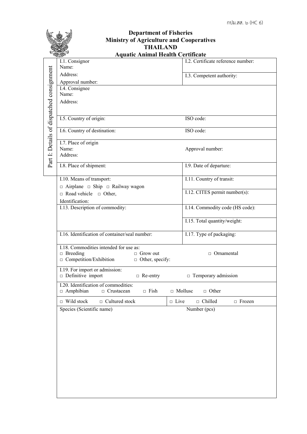|                                           | <b>Department of Fisheries</b><br><b>Ministry of Agriculture and Cooperatives</b><br><b>THAILAND</b> |                                    |  |
|-------------------------------------------|------------------------------------------------------------------------------------------------------|------------------------------------|--|
|                                           | <b>Aquatic Animal Health Certificate</b>                                                             |                                    |  |
|                                           | I.1. Consignor<br>Name:                                                                              | I.2. Certificate reference number: |  |
|                                           | Address:                                                                                             | I.3. Competent authority:          |  |
|                                           | Approval number:                                                                                     |                                    |  |
|                                           | I.4. Consignee                                                                                       |                                    |  |
|                                           | Name:                                                                                                |                                    |  |
|                                           | Address:                                                                                             |                                    |  |
|                                           |                                                                                                      |                                    |  |
|                                           | I.5. Country of origin:                                                                              | ISO code:                          |  |
| Part I: Details of dispatched consignment | I.6. Country of destination:                                                                         | ISO code:                          |  |
|                                           | I.7. Place of origin                                                                                 |                                    |  |
|                                           | Name:                                                                                                | Approval number:                   |  |
|                                           | Address:                                                                                             |                                    |  |
|                                           | I.8. Place of shipment:                                                                              | I.9. Date of departure:            |  |
|                                           |                                                                                                      |                                    |  |
|                                           | I.10. Means of transport:                                                                            | I.11. Country of transit:          |  |
|                                           | $\Box$ Airplane $\Box$ Ship $\Box$ Railway wagon                                                     | I.12. CITES permit number(s):      |  |
|                                           | $\Box$ Road vehicle $\Box$ Other,                                                                    |                                    |  |
|                                           | Identification:<br>I.13. Description of commodity:                                                   | I.14. Commodity code (HS code):    |  |
|                                           |                                                                                                      |                                    |  |
|                                           |                                                                                                      | I.15. Total quantity/weight:       |  |
|                                           |                                                                                                      |                                    |  |
|                                           | I.16. Identification of container/seal number:                                                       | I.17. Type of packaging:           |  |
|                                           | I.18. Commodities intended for use as:                                                               |                                    |  |
|                                           | $\Box$ Breeding<br>$\Box$ Grow out                                                                   | $\Box$ Ornamental                  |  |
|                                           | $\Box$ Competition/Exhibition<br>$\Box$ Other, specify:                                              |                                    |  |
|                                           | I.19. For import or admission:<br>$\Box$ Definitive import                                           |                                    |  |
|                                           | $\Box$ Re-entry<br>I.20. Identification of commodities:                                              | $\Box$ Temporary admission         |  |
|                                           | $\Box$ Amphibian<br>$\Box$ Crustacean<br>$\Box$ Fish                                                 | $\Box$ Mollusc<br>$\Box$ Other     |  |
|                                           | $\Box$ Wild stock<br>$\Box$ Cultured stock<br>$\Box$ Live                                            | $\Box$ Chilled<br>$\Box$ Frozen    |  |
|                                           | Species (Scientific name)                                                                            | Number (pcs)                       |  |
|                                           |                                                                                                      |                                    |  |
|                                           |                                                                                                      |                                    |  |
|                                           |                                                                                                      |                                    |  |
|                                           |                                                                                                      |                                    |  |
|                                           |                                                                                                      |                                    |  |
|                                           |                                                                                                      |                                    |  |
|                                           |                                                                                                      |                                    |  |
|                                           |                                                                                                      |                                    |  |
|                                           |                                                                                                      |                                    |  |
|                                           |                                                                                                      |                                    |  |
|                                           |                                                                                                      |                                    |  |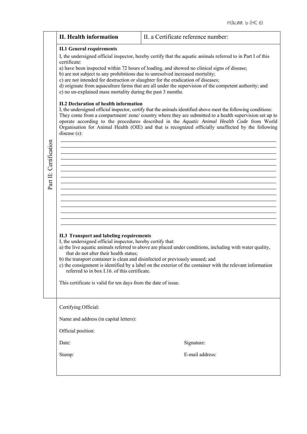|                        |                                                                                                                                                                                                                                                                                                                                                              | กปม.สส. ๖ (HC 6)                                                                                                                                                                                                                                                                                                                                                                                                                                                                                                                                                                                                                                                                                                                                     |
|------------------------|--------------------------------------------------------------------------------------------------------------------------------------------------------------------------------------------------------------------------------------------------------------------------------------------------------------------------------------------------------------|------------------------------------------------------------------------------------------------------------------------------------------------------------------------------------------------------------------------------------------------------------------------------------------------------------------------------------------------------------------------------------------------------------------------------------------------------------------------------------------------------------------------------------------------------------------------------------------------------------------------------------------------------------------------------------------------------------------------------------------------------|
|                        | <b>II. Health information</b>                                                                                                                                                                                                                                                                                                                                | II. a Certificate reference number:                                                                                                                                                                                                                                                                                                                                                                                                                                                                                                                                                                                                                                                                                                                  |
|                        |                                                                                                                                                                                                                                                                                                                                                              |                                                                                                                                                                                                                                                                                                                                                                                                                                                                                                                                                                                                                                                                                                                                                      |
|                        | <b>II.1 General requirements</b><br>certificate:<br>b) are not subject to any prohibitions due to unresolved increased mortality;<br>c) are not intended for destruction or slaughter for the eradication of diseases;<br>e) no un-explained mass mortality during the past 3 months.<br><b>II.2 Declaration of health information</b><br>disease (s):       | I, the undersigned official inspector, hereby certify that the aquatic animals referred to in Part I of this<br>a) have been inspected within 72 hours of loading, and showed no clinical signs of disease;<br>d) originate from aquaculture farms that are all under the supervision of the competent authority; and<br>I, the undersigned official inspector, certify that the animals identified above meet the following conditions:<br>They come from a compartment/zone/country where they are submitted to a health supervision set up to<br>operate according to the procedures described in the Aquatic Animal Health Code from World<br>Organisation for Animal Health (OIE) and that is recognized officially unaffected by the following |
| Part II: Certification |                                                                                                                                                                                                                                                                                                                                                              |                                                                                                                                                                                                                                                                                                                                                                                                                                                                                                                                                                                                                                                                                                                                                      |
|                        | <b>II.3 Transport and labeling requirements</b><br>I, the undersigned official inspector, hereby certify that:<br>that do not alter their health status;<br>b) the transport container is clean and disinfected or previously unused; and<br>referred to in box I.16. of this certificate.<br>This certificate is valid for ten days from the date of issue. | a) the live aquatic animals referred to above are placed under conditions, including with water quality,<br>c) the consignment is identified by a label on the exterior of the container with the relevant information                                                                                                                                                                                                                                                                                                                                                                                                                                                                                                                               |
|                        | Certifying Official:<br>Name and address (in capital letters):<br>Official position:                                                                                                                                                                                                                                                                         |                                                                                                                                                                                                                                                                                                                                                                                                                                                                                                                                                                                                                                                                                                                                                      |
|                        |                                                                                                                                                                                                                                                                                                                                                              |                                                                                                                                                                                                                                                                                                                                                                                                                                                                                                                                                                                                                                                                                                                                                      |
|                        | Date:                                                                                                                                                                                                                                                                                                                                                        | Signature:                                                                                                                                                                                                                                                                                                                                                                                                                                                                                                                                                                                                                                                                                                                                           |
|                        | Stamp:                                                                                                                                                                                                                                                                                                                                                       | E-mail address:                                                                                                                                                                                                                                                                                                                                                                                                                                                                                                                                                                                                                                                                                                                                      |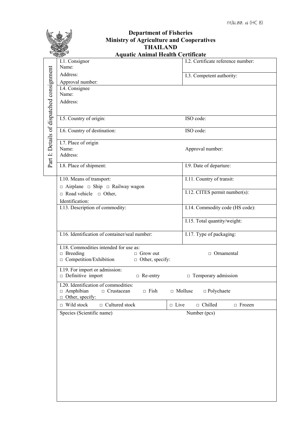|                                           | <b>Department of Fisheries</b><br><b>Ministry of Agriculture and Cooperatives</b><br><b>THAILAND</b>                                    |                                                |
|-------------------------------------------|-----------------------------------------------------------------------------------------------------------------------------------------|------------------------------------------------|
|                                           | <b>Aquatic Animal Health Certificate</b>                                                                                                |                                                |
|                                           | I.1. Consignor<br>Name:                                                                                                                 | I.2. Certificate reference number:             |
|                                           | Address:<br>Approval number:                                                                                                            | I.3. Competent authority:                      |
| Part I: Details of dispatched consignment | I.4. Consignee<br>Name:<br>Address:                                                                                                     |                                                |
|                                           | I.5. Country of origin:                                                                                                                 | ISO code:                                      |
|                                           | I.6. Country of destination:                                                                                                            | ISO code:                                      |
|                                           | I.7. Place of origin<br>Name:<br>Address:                                                                                               | Approval number:                               |
|                                           | I.8. Place of shipment:                                                                                                                 | I.9. Date of departure:                        |
|                                           | I.10. Means of transport:<br>$\Box$ Airplane $\Box$ Ship $\Box$ Railway wagon                                                           | I.11. Country of transit:                      |
|                                           | $\Box$ Road vehicle $\Box$ Other,<br>Identification:                                                                                    | I.12. CITES permit number(s):                  |
|                                           | I.13. Description of commodity:                                                                                                         | I.14. Commodity code (HS code):                |
|                                           |                                                                                                                                         | I.15. Total quantity/weight:                   |
|                                           | I.16. Identification of container/seal number:                                                                                          | I.17. Type of packaging:                       |
|                                           | I.18. Commodities intended for use as:<br>$\Box$ Breeding<br>$\Box$ Grow out<br>$\Box$ Competition/Exhibition<br>$\Box$ Other, specify: | $\Box$ Ornamental                              |
|                                           | I.19. For import or admission:<br>$\Box$ Definitive import<br>$\Box$ Re-entry                                                           | $\Box$ Temporary admission                     |
|                                           | I.20. Identification of commodities:<br>$\Box$ Amphibian<br>$\Box$ Crustacean<br>$\Box$ Fish<br>$\Box$ Other, specify:                  | $\Box$ Mollusc<br>$\Box$ Polychaete            |
|                                           | $\Box$ Wild stock<br>$\Box$ Cultured stock                                                                                              | $\Box$ Live<br>$\Box$ Chilled<br>$\Box$ Frozen |
|                                           | Species (Scientific name)                                                                                                               | Number (pcs)                                   |
|                                           |                                                                                                                                         |                                                |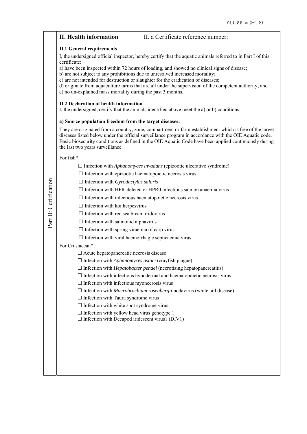|                        | <b>II. Health information</b>                                                                                                                                                                                                                                                                                                                                                                                                                                                                                                                                                                                                                                                                                                                                                                                                                                              | II. a Certificate reference number:                                                                                                                                                                                                                                                                                                                                                                                                                                                                                                                                                                                                                                                                                                                |
|------------------------|----------------------------------------------------------------------------------------------------------------------------------------------------------------------------------------------------------------------------------------------------------------------------------------------------------------------------------------------------------------------------------------------------------------------------------------------------------------------------------------------------------------------------------------------------------------------------------------------------------------------------------------------------------------------------------------------------------------------------------------------------------------------------------------------------------------------------------------------------------------------------|----------------------------------------------------------------------------------------------------------------------------------------------------------------------------------------------------------------------------------------------------------------------------------------------------------------------------------------------------------------------------------------------------------------------------------------------------------------------------------------------------------------------------------------------------------------------------------------------------------------------------------------------------------------------------------------------------------------------------------------------------|
|                        | <b>II.1 General requirements</b><br>certificate:<br>b) are not subject to any prohibitions due to unresolved increased mortality;<br>c) are not intended for destruction or slaughter for the eradication of diseases;<br>e) no un-explained mass mortality during the past 3 months.<br><b>II.2 Declaration of health information</b><br>a) Source population freedom from the target diseases:<br>the last two years surveillance.                                                                                                                                                                                                                                                                                                                                                                                                                                       | I, the undersigned official inspector, hereby certify that the aquatic animals referred to in Part I of this<br>a) have been inspected within 72 hours of loading, and showed no clinical signs of disease;<br>d) originate from aquaculture farms that are all under the supervision of the competent authority; and<br>I, the undersigned, certify that the animals identified above meet the a) or b) conditions:<br>They are originated from a country, zone, compartment or farm establishment which is free of the target<br>diseases listed below under the official surveillance program in accordance with the OIE Aquatic code.<br>Basic biosecurity conditions as defined in the OIE Aquatic Code have been applied continuously during |
| Part II: Certification | For fish*<br>$\Box$ Infection with epizootic haematopoietic necrosis virus<br>$\Box$ Infection with <i>Gyrodactylus salaris</i><br>$\Box$ Infection with infectious haematopoietic necrosis virus<br>$\Box$ Infection with koi herpesvirus<br>$\Box$ Infection with red sea bream iridovirus<br>$\Box$ Infection with salmonid alphavirus<br>$\Box$ Infection with spring viraemia of carp virus<br>$\Box$ Infection with viral haemorrhagic septicaemia virus<br>For Crustacean*<br>□ Acute hepatopancreatic necrosis disease<br>$\Box$ Infection with <i>Aphanomyces astaci</i> (crayfish plague)<br>$\Box$ Infection with infectious myonecrosis virus<br>$\Box$ Infection with Taura syndrome virus<br>$\Box$ Infection with white spot syndrome virus<br>$\Box$ Infection with yellow head virus genotype 1<br>$\Box$ Infection with Decapod iridescent virus1 (DIV1) | $\Box$ Infection with <i>Aphanomyces invadans</i> (epizootic ulcerative syndrome)<br>$\Box$ Infection with HPR-deleted or HPR0 infectious salmon anaemia virus<br>$\Box$ Infection with <i>Hepatobacter penaei</i> (necrotising hepatopancreatitis)<br>$\Box$ Infection with infectious hypodermal and haematopoietic necrosis virus<br>$\Box$ Infection with <i>Macrobrachium rosenbergii</i> nodavirus (white tail disease)                                                                                                                                                                                                                                                                                                                      |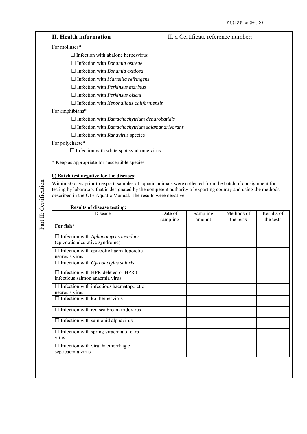| II. Health information                                         | II. a Certificate reference number: |
|----------------------------------------------------------------|-------------------------------------|
| For molluscs*                                                  |                                     |
| $\Box$ Infection with abalone herpesvirus                      |                                     |
| Infection with <i>Bonamia ostreae</i>                          |                                     |
| $\Box$ Infection with <i>Bonamia exitiosa</i>                  |                                     |
| $\Box$ Infection with <i>Marteilia refringens</i>              |                                     |
| $\Box$ Infection with <i>Perkinsus marinus</i>                 |                                     |
| $\Box$ Infection with <i>Perkinsus olseni</i>                  |                                     |
| $\Box$ Infection with <i>Xenohaliotis californiensis</i>       |                                     |
| For amphibians*                                                |                                     |
| $\Box$ Infection with <i>Batrachochytrium dendrobatidis</i>    |                                     |
| $\Box$ Infection with <i>Batrachochytrium salamandrivorans</i> |                                     |
| $\Box$ Infection with <i>Ranavirus</i> species                 |                                     |
| For polychaete*                                                |                                     |
| $\Box$ Infection with white spot syndrome virus                |                                     |

\* Keep as appropriate for susceptible species.

## **b) Batch test negative for the diseases:**

Within 30 days prior to export, samples of aquatic animals were collected from the batch of consignment for testing by laboratory that is designated by the competent authority of exporting country and using the methods described in the OIE Aquatic Manual. The results were negative.

| <b>Results of disease testing:</b>                |          |          |            |            |
|---------------------------------------------------|----------|----------|------------|------------|
| Disease                                           | Date of  | Sampling | Methods of | Results of |
|                                                   | sampling | amount   | the tests  | the tests  |
| For fish*                                         |          |          |            |            |
| $\Box$ Infection with Aphanomyces invadans        |          |          |            |            |
| (epizootic ulcerative syndrome)                   |          |          |            |            |
| $\Box$ Infection with epizootic haematopoietic    |          |          |            |            |
| necrosis virus                                    |          |          |            |            |
| $\Box$ Infection with <i>Gyrodactylus salaris</i> |          |          |            |            |
| $\Box$ Infection with HPR-deleted or HPR0         |          |          |            |            |
| infectious salmon anaemia virus                   |          |          |            |            |
| $\Box$ Infection with infectious haematopoietic   |          |          |            |            |
| necrosis virus                                    |          |          |            |            |
| $\Box$ Infection with koi herpesvirus             |          |          |            |            |
| $\Box$ Infection with red sea bream iridovirus    |          |          |            |            |
| $\Box$ Infection with salmonid alphavirus         |          |          |            |            |
| $\Box$ Infection with spring viraemia of carp     |          |          |            |            |
| virus                                             |          |          |            |            |
| $\Box$ Infection with viral haemorrhagic          |          |          |            |            |
| septicaemia virus                                 |          |          |            |            |
|                                                   |          |          |            |            |
|                                                   |          |          |            |            |

#### **Results of disease testing:**

Part II: Certification Part II: Certification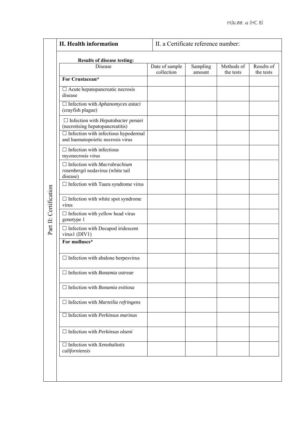## **II. Health information II.** a Certificate reference number: **Results of disease testing:**  Date of sample Results of Sampling Methods of collection amount the tests the tests **For Crustacean\***   $\Box$  Acute hepatopancreatic necrosis disease Infection with *Aphanomyces astaci*  (crayfish plague) Infection with *Hepatobacter penaei*  (necrotising hepatopancreatitis)  $\Box$  Infection with infectious hypodermal and haematopoietic necrosis virus  $\Box$  Infection with infectious myonecrosis virus Infection with *Macrobrachium rosenbergii* nodavirus (white tail disease)  $\Box$  Infection with Taura syndrome virus Part II: Certification Part II: Certification  $\square$  Infection with white spot syndrome virus  $\Box$  Infection with yellow head virus genotype 1  $\Box$  Infection with Decapod iridescent virus1 (DIV1) **For molluscs\***   $\Box$  Infection with abalone herpesvirus Infection with *Bonamia ostreae* Infection with *Bonamia exitiosa* Infection with *Marteilia refringens* Infection with *Perkinsus marinus*  Infection with *Perkinsus olseni* Infection with *Xenohaliotis californiensis*